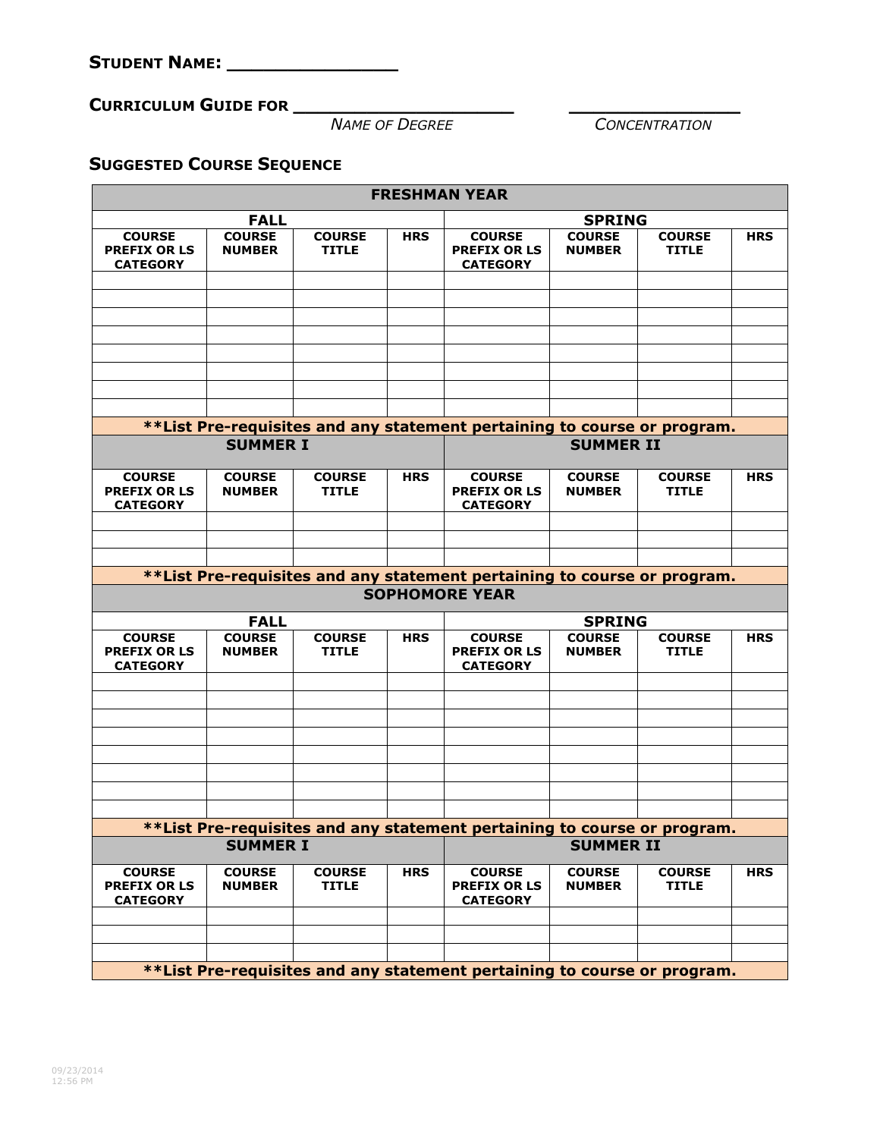**CURRICULUM GUIDE FOR \_\_\_\_\_\_\_\_\_\_\_\_\_\_\_\_\_\_ \_\_\_\_\_\_\_\_\_\_\_\_\_\_**

 $\overline{CONCENTRATION}$ 

## **SUGGESTED COURSE SEQUENCE**

| <b>FRESHMAN YEAR</b>                                                                        |                                |                               |            |                                                                           |                                |                               |            |  |  |  |  |  |
|---------------------------------------------------------------------------------------------|--------------------------------|-------------------------------|------------|---------------------------------------------------------------------------|--------------------------------|-------------------------------|------------|--|--|--|--|--|
| <b>FALL</b>                                                                                 |                                |                               |            | <b>SPRING</b>                                                             |                                |                               |            |  |  |  |  |  |
| <b>COURSE</b><br><b>PREFIX OR LS</b><br><b>CATEGORY</b>                                     | <b>COURSE</b><br><b>NUMBER</b> | <b>COURSE</b><br><b>TITLE</b> | <b>HRS</b> | <b>COURSE</b><br><b>PREFIX OR LS</b><br><b>CATEGORY</b>                   | <b>COURSE</b><br><b>NUMBER</b> | <b>COURSE</b><br><b>TITLE</b> | <b>HRS</b> |  |  |  |  |  |
|                                                                                             |                                |                               |            |                                                                           |                                |                               |            |  |  |  |  |  |
|                                                                                             |                                |                               |            |                                                                           |                                |                               |            |  |  |  |  |  |
|                                                                                             |                                |                               |            |                                                                           |                                |                               |            |  |  |  |  |  |
|                                                                                             |                                |                               |            |                                                                           |                                |                               |            |  |  |  |  |  |
|                                                                                             |                                |                               |            |                                                                           |                                |                               |            |  |  |  |  |  |
|                                                                                             |                                |                               |            |                                                                           |                                |                               |            |  |  |  |  |  |
|                                                                                             |                                |                               |            | **List Pre-requisites and any statement pertaining to course or program.  |                                |                               |            |  |  |  |  |  |
| <b>SUMMER I</b>                                                                             |                                |                               |            | <b>SUMMER II</b>                                                          |                                |                               |            |  |  |  |  |  |
|                                                                                             |                                |                               |            |                                                                           |                                |                               |            |  |  |  |  |  |
| <b>COURSE</b><br><b>PREFIX OR LS</b><br><b>CATEGORY</b>                                     | <b>COURSE</b><br><b>NUMBER</b> | <b>COURSE</b><br><b>TITLE</b> | <b>HRS</b> | <b>COURSE</b><br><b>PREFIX OR LS</b><br><b>CATEGORY</b>                   | <b>COURSE</b><br><b>NUMBER</b> | <b>COURSE</b><br><b>TITLE</b> | <b>HRS</b> |  |  |  |  |  |
|                                                                                             |                                |                               |            |                                                                           |                                |                               |            |  |  |  |  |  |
|                                                                                             |                                |                               |            |                                                                           |                                |                               |            |  |  |  |  |  |
|                                                                                             |                                |                               |            | ** List Pre-requisites and any statement pertaining to course or program. |                                |                               |            |  |  |  |  |  |
|                                                                                             |                                |                               |            | <b>SOPHOMORE YEAR</b>                                                     |                                |                               |            |  |  |  |  |  |
|                                                                                             | <b>FALL</b>                    |                               |            |                                                                           | <b>SPRING</b>                  |                               |            |  |  |  |  |  |
| <b>COURSE</b><br><b>PREFIX OR LS</b><br><b>CATEGORY</b>                                     | <b>COURSE</b><br><b>NUMBER</b> | <b>COURSE</b><br><b>TITLE</b> | <b>HRS</b> | <b>COURSE</b><br><b>PREFIX OR LS</b><br><b>CATEGORY</b>                   | <b>COURSE</b><br><b>NUMBER</b> | <b>COURSE</b><br><b>TITLE</b> | <b>HRS</b> |  |  |  |  |  |
|                                                                                             |                                |                               |            |                                                                           |                                |                               |            |  |  |  |  |  |
|                                                                                             |                                |                               |            |                                                                           |                                |                               |            |  |  |  |  |  |
|                                                                                             |                                |                               |            |                                                                           |                                |                               |            |  |  |  |  |  |
|                                                                                             |                                |                               |            |                                                                           |                                |                               |            |  |  |  |  |  |
|                                                                                             |                                |                               |            |                                                                           |                                |                               |            |  |  |  |  |  |
|                                                                                             |                                |                               |            |                                                                           |                                |                               |            |  |  |  |  |  |
|                                                                                             |                                |                               |            |                                                                           |                                |                               |            |  |  |  |  |  |
| **List Pre-requisites and any statement pertaining to course or program.<br><b>SUMMER I</b> |                                |                               |            | <b>SUMMER II</b>                                                          |                                |                               |            |  |  |  |  |  |
| <b>COURSE</b>                                                                               | <b>COURSE</b>                  | <b>COURSE</b>                 | <b>HRS</b> | <b>COURSE</b>                                                             | <b>COURSE</b>                  | <b>COURSE</b>                 | <b>HRS</b> |  |  |  |  |  |
| <b>PREFIX OR LS</b><br><b>CATEGORY</b>                                                      | <b>NUMBER</b>                  | <b>TITLE</b>                  |            | <b>PREFIX OR LS</b><br><b>CATEGORY</b>                                    | <b>NUMBER</b>                  | <b>TITLE</b>                  |            |  |  |  |  |  |
|                                                                                             |                                |                               |            |                                                                           |                                |                               |            |  |  |  |  |  |
|                                                                                             |                                |                               |            |                                                                           |                                |                               |            |  |  |  |  |  |
| **List Pre-requisites and any statement pertaining to course or program.                    |                                |                               |            |                                                                           |                                |                               |            |  |  |  |  |  |